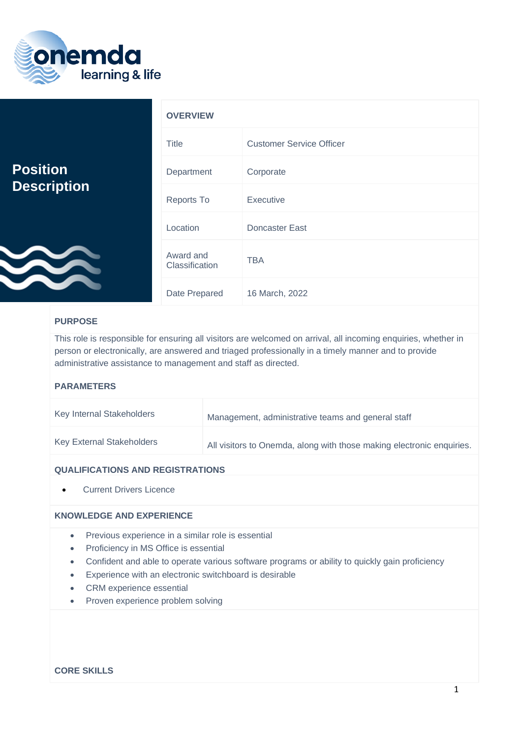

|                                       | <b>OVERVIEW</b>             |                                 |
|---------------------------------------|-----------------------------|---------------------------------|
|                                       | <b>Title</b>                | <b>Customer Service Officer</b> |
| <b>Position</b><br><b>Description</b> | Department                  | Corporate                       |
|                                       | Reports To                  | <b>Executive</b>                |
|                                       | Location                    | Doncaster East                  |
| <b>CONTROL</b>                        | Award and<br>Classification | <b>TBA</b>                      |
|                                       | Date Prepared               | 16 March, 2022                  |

# **PURPOSE**

This role is responsible for ensuring all visitors are welcomed on arrival, all incoming enquiries, whether in person or electronically, are answered and triaged professionally in a timely manner and to provide administrative assistance to management and staff as directed.

### **PARAMETERS**

| Key Internal Stakeholders        | Management, administrative teams and general staff                    |
|----------------------------------|-----------------------------------------------------------------------|
| <b>Key External Stakeholders</b> | All visitors to Onemda, along with those making electronic enquiries. |

### **QUALIFICATIONS AND REGISTRATIONS**

• Current Drivers Licence

## **KNOWLEDGE AND EXPERIENCE**

- Previous experience in a similar role is essential
- Proficiency in MS Office is essential
- Confident and able to operate various software programs or ability to quickly gain proficiency
- Experience with an electronic switchboard is desirable
- CRM experience essential
- Proven experience problem solving

### **CORE SKILLS**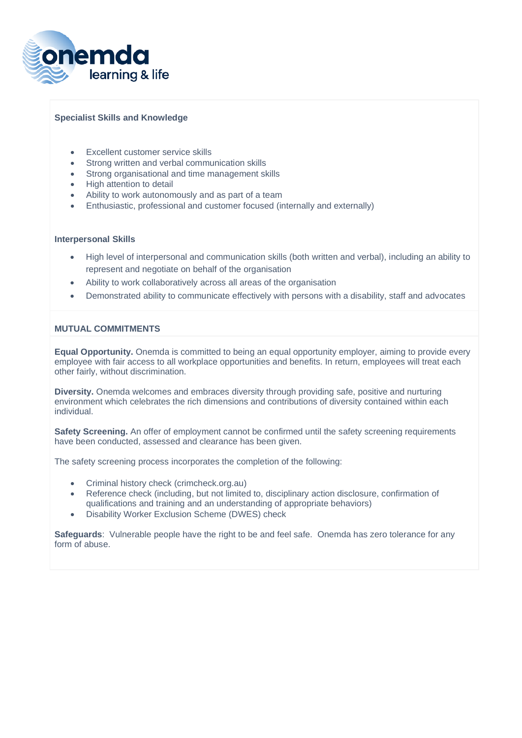

### **Specialist Skills and Knowledge**

- Excellent customer service skills
- Strong written and verbal communication skills
- Strong organisational and time management skills
- High attention to detail
- Ability to work autonomously and as part of a team
- Enthusiastic, professional and customer focused (internally and externally)

#### **Interpersonal Skills**

- High level of interpersonal and communication skills (both written and verbal), including an ability to represent and negotiate on behalf of the organisation
- Ability to work collaboratively across all areas of the organisation
- Demonstrated ability to communicate effectively with persons with a disability, staff and advocates

#### **MUTUAL COMMITMENTS**

**Equal Opportunity.** Onemda is committed to being an equal opportunity employer, aiming to provide every employee with fair access to all workplace opportunities and benefits. In return, employees will treat each other fairly, without discrimination.

**Diversity.** Onemda welcomes and embraces diversity through providing safe, positive and nurturing environment which celebrates the rich dimensions and contributions of diversity contained within each individual.

**Safety Screening.** An offer of employment cannot be confirmed until the safety screening requirements have been conducted, assessed and clearance has been given.

The safety screening process incorporates the completion of the following:

- Criminal history check (crimcheck.org.au)
- Reference check (including, but not limited to, disciplinary action disclosure, confirmation of qualifications and training and an understanding of appropriate behaviors)
- Disability Worker Exclusion Scheme (DWES) check

**Safeguards**: Vulnerable people have the right to be and feel safe. Onemda has zero tolerance for any form of abuse.